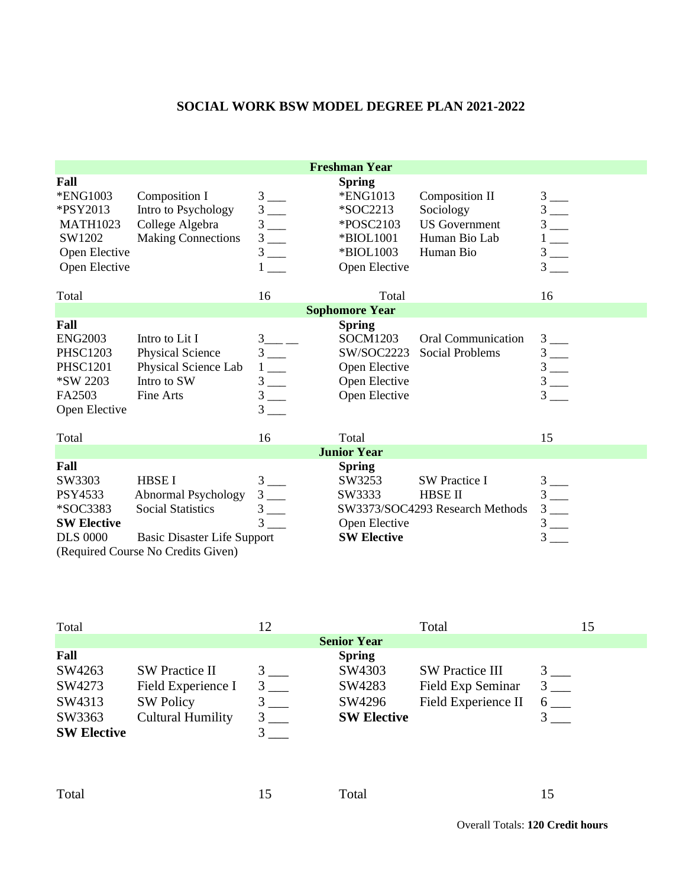## **SOCIAL WORK BSW MODEL DEGREE PLAN 2021-2022**

| <b>Freshman Year</b>                                                                        |                                                                                                                                             |                                                        |                                                                                               |                                                                                          |                                                                                                                                                                                                                                                                                                                              |
|---------------------------------------------------------------------------------------------|---------------------------------------------------------------------------------------------------------------------------------------------|--------------------------------------------------------|-----------------------------------------------------------------------------------------------|------------------------------------------------------------------------------------------|------------------------------------------------------------------------------------------------------------------------------------------------------------------------------------------------------------------------------------------------------------------------------------------------------------------------------|
| Fall<br>*ENG1003<br>*PSY2013<br><b>MATH1023</b><br>SW1202<br>Open Elective<br>Open Elective | Composition I<br>Intro to Psychology<br>College Algebra<br><b>Making Connections</b>                                                        | $\frac{3}{3}$ —<br>$\frac{3}{3}$                       | <b>Spring</b><br>*ENG1013<br>*SOC2213<br>*POSC2103<br>*BIOL1001<br>*BIOL1003<br>Open Elective | <b>Composition II</b><br>Sociology<br><b>US</b> Government<br>Human Bio Lab<br>Human Bio | $\frac{3}{3}$<br>$\frac{3}{1}$ $\frac{1}{3}$ $\frac{1}{3}$ $\frac{1}{3}$<br>$3\qquad$                                                                                                                                                                                                                                        |
| Total                                                                                       |                                                                                                                                             | 16                                                     | Total                                                                                         |                                                                                          | 16                                                                                                                                                                                                                                                                                                                           |
| <b>Sophomore Year</b>                                                                       |                                                                                                                                             |                                                        |                                                                                               |                                                                                          |                                                                                                                                                                                                                                                                                                                              |
| Fall                                                                                        |                                                                                                                                             |                                                        | <b>Spring</b>                                                                                 |                                                                                          |                                                                                                                                                                                                                                                                                                                              |
| <b>ENG2003</b><br><b>PHSC1203</b><br><b>PHSC1201</b><br>*SW 2203<br>FA2503<br>Open Elective | Intro to Lit I<br>Physical Science<br>Physical Science Lab<br>Intro to SW<br>Fine Arts                                                      | $3_{-}$<br>$1 \_$<br>$\frac{3}{3}$ —<br>3 <sup>1</sup> | SOCM1203<br>SW/SOC2223<br>Open Elective<br>Open Elective<br>Open Elective                     | <b>Oral Communication</b><br><b>Social Problems</b>                                      | $3$ —<br>$\frac{3}{3}$ $\frac{3}{3}$ $\frac{3}{3}$ $\frac{1}{3}$ $\frac{1}{3}$ $\frac{1}{3}$ $\frac{1}{3}$ $\frac{1}{3}$ $\frac{1}{3}$ $\frac{1}{3}$ $\frac{1}{3}$ $\frac{1}{3}$ $\frac{1}{3}$ $\frac{1}{3}$ $\frac{1}{3}$ $\frac{1}{3}$ $\frac{1}{3}$ $\frac{1}{3}$ $\frac{1}{3}$ $\frac{1}{3}$ $\frac{1}{3}$ $\frac{1}{3}$ |
| Total                                                                                       |                                                                                                                                             | 16                                                     | Total                                                                                         |                                                                                          | 15                                                                                                                                                                                                                                                                                                                           |
| <b>Junior Year</b>                                                                          |                                                                                                                                             |                                                        |                                                                                               |                                                                                          |                                                                                                                                                                                                                                                                                                                              |
| Fall<br>SW3303<br>PSY4533<br>*SOC3383<br><b>SW Elective</b><br><b>DLS 0000</b>              | <b>HBSEI</b><br>Abnormal Psychology<br><b>Social Statistics</b><br><b>Basic Disaster Life Support</b><br>(Required Course No Credits Given) | $3\overline{)}$<br>$3$ —<br>3 <sup>1</sup><br>3        | <b>Spring</b><br>SW3253<br>SW3333<br>Open Elective<br><b>SW Elective</b>                      | <b>SW Practice I</b><br><b>HBSE II</b><br>SW3373/SOC4293 Research Methods                | $\frac{3}{3}$ $\frac{3}{3}$ $\frac{3}{3}$ $\frac{1}{3}$<br>3                                                                                                                                                                                                                                                                 |

| Total              |                          |                    | Total                  |  |
|--------------------|--------------------------|--------------------|------------------------|--|
|                    |                          | <b>Senior Year</b> |                        |  |
| Fall               |                          | <b>Spring</b>      |                        |  |
| SW4263             | <b>SW Practice II</b>    | SW4303             | <b>SW Practice III</b> |  |
| SW4273             | Field Experience I       | SW4283             | Field Exp Seminar      |  |
| SW4313             | <b>SW Policy</b>         | SW4296             | Field Experience II    |  |
| SW3363             | <b>Cultural Humility</b> | <b>SW Elective</b> |                        |  |
| <b>SW Elective</b> |                          |                    |                        |  |

Total 15 Total 15 15

Overall Totals: **120 Credit hours**